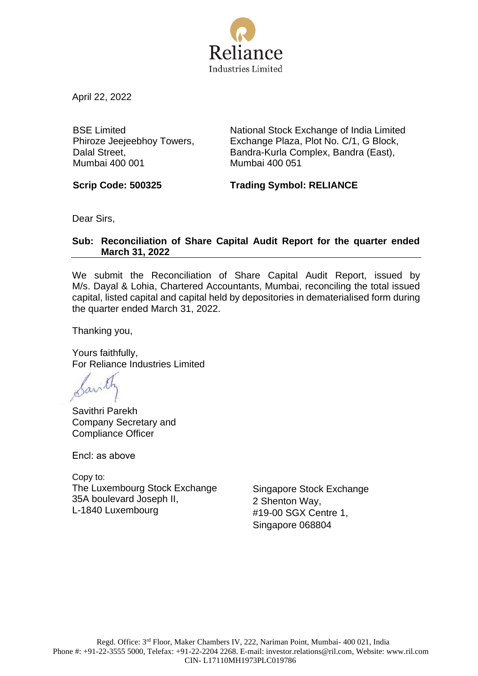

April 22, 2022

BSE Limited Phiroze Jeejeebhoy Towers, Dalal Street, Mumbai 400 001

National Stock Exchange of India Limited Exchange Plaza, Plot No. C/1, G Block, Bandra-Kurla Complex, Bandra (East), Mumbai 400 051

**Scrip Code: 500325 Trading Symbol: RELIANCE**

Dear Sirs,

## **Sub: Reconciliation of Share Capital Audit Report for the quarter ended March 31, 2022**

We submit the Reconciliation of Share Capital Audit Report, issued by M/s. Dayal & Lohia, Chartered Accountants, Mumbai, reconciling the total issued capital, listed capital and capital held by depositories in dematerialised form during the quarter ended March 31, 2022.

Thanking you,

Yours faithfully, For Reliance Industries Limited

Savithri Parekh Company Secretary and Compliance Officer

Encl: as above

Copy to: The Luxembourg Stock Exchange 35A boulevard Joseph II, L-1840 Luxembourg

Singapore Stock Exchange 2 Shenton Way, #19-00 SGX Centre 1, Singapore 068804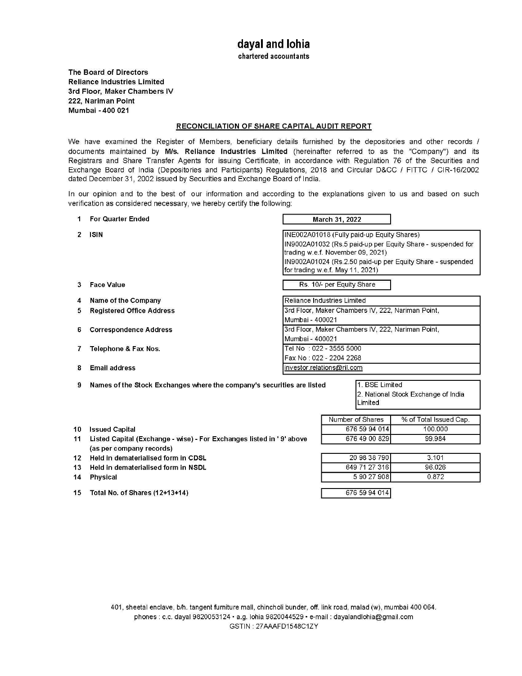chartered accountants

**The Board of Directors Reliance Industries Limited 3rd Floor, Maker Chambers IV 222, Nariman Point Mumbai -400 021** 

### **RECONCILIATION OF SHARE CAPITAL AUDIT REPORT**

We have examined the Register of Members, beneficiary details furnished by the depositories and other records / documents maintained by M/s. Reliance Industries Limited (hereinafter referred to as the "Company") and its Registrars and Share Transfer Agents for issuing Certificate, in accordance with Regulation 76 of the Securities and Exchange Board of India (Depositories and Participants) Regulations, 2018 and Circular D&CC / FITTC / CIR-16/2002 dated December 31, 2002 issued by Securities and Exchange Board of India.

In our opinion and to the best of our information and according to the explanations given to us and based on such verification as considered necessary, we hereby certify the following:

| 1  | <b>For Quarter Ended</b>                                               |                                                                                                                                                                                                                                                  | March 31, 2022 |                           |                                                   |
|----|------------------------------------------------------------------------|--------------------------------------------------------------------------------------------------------------------------------------------------------------------------------------------------------------------------------------------------|----------------|---------------------------|---------------------------------------------------|
| 2  | <b>ISIN</b>                                                            | INE002A01018 (Fully paid-up Equity Shares)<br>IN9002A01032 (Rs.5 paid-up per Equity Share - suspended for<br>trading w.e.f. November 09, 2021)<br>IN9002A01024 (Rs.2.50 paid-up per Equity Share - suspended<br>for trading w.e.f. May 11, 2021) |                |                           |                                                   |
| 3  | <b>Face Value</b>                                                      | Rs. 10/- per Equity Share                                                                                                                                                                                                                        |                |                           |                                                   |
| 4  | Name of the Company                                                    | Reliance Industries Limited                                                                                                                                                                                                                      |                |                           |                                                   |
| 5  | <b>Registered Office Address</b>                                       |                                                                                                                                                                                                                                                  |                |                           | 3rd Floor, Maker Chambers IV, 222, Nariman Point, |
|    |                                                                        | Mumbai - 400021                                                                                                                                                                                                                                  |                |                           |                                                   |
| 6  | <b>Correspondence Address</b>                                          |                                                                                                                                                                                                                                                  |                |                           | 3rd Floor, Maker Chambers IV, 222, Nariman Point, |
|    |                                                                        | Mumbai - 400021                                                                                                                                                                                                                                  |                |                           |                                                   |
| 7  | Telephone & Fax Nos.                                                   | Tel No : 022 - 3555 5000                                                                                                                                                                                                                         |                |                           |                                                   |
|    |                                                                        | Fax No: 022 - 2204 2268                                                                                                                                                                                                                          |                |                           |                                                   |
| 8  | <b>Email address</b>                                                   | investor.relations@ril.com                                                                                                                                                                                                                       |                |                           |                                                   |
| 9  | Names of the Stock Exchanges where the company's securities are listed |                                                                                                                                                                                                                                                  |                | 1. BSE Limited<br>Limited | 2. National Stock Exchange of India               |
|    |                                                                        |                                                                                                                                                                                                                                                  |                | Number of Shares          | % of Total Issued Cap.                            |
| 10 | <b>Issued Capital</b>                                                  |                                                                                                                                                                                                                                                  |                | 676 59 94 014             | 100.000                                           |
| 11 | Listed Capital (Exchange - wise) - For Exchanges listed in '9' above   |                                                                                                                                                                                                                                                  |                | 676 49 00 829             | 99.984                                            |
|    | (as per company records)                                               |                                                                                                                                                                                                                                                  |                |                           |                                                   |
| 12 | Held in dematerialised form in CDSL                                    |                                                                                                                                                                                                                                                  |                | 20 98 38 790<br>3.101     |                                                   |
| 13 | Held in dematerialised form in NSDL                                    |                                                                                                                                                                                                                                                  |                | 649 71 27 316             | 96.026                                            |
| 14 | <b>Physical</b>                                                        |                                                                                                                                                                                                                                                  |                | 5 90 27 908               | 0.872                                             |
| 15 | Total No. of Shares (12+13+14)                                         |                                                                                                                                                                                                                                                  |                | 676 59 94 014             |                                                   |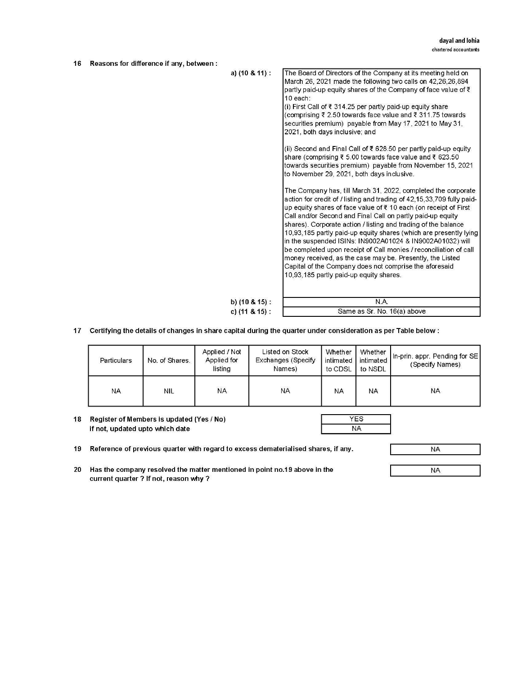| 16 | Reasons for difference if any, between: |                      |                                                                                                                                                                                                                                                                                                                                                                                                                                                                                                                                                                                                                                                                                                                      |
|----|-----------------------------------------|----------------------|----------------------------------------------------------------------------------------------------------------------------------------------------------------------------------------------------------------------------------------------------------------------------------------------------------------------------------------------------------------------------------------------------------------------------------------------------------------------------------------------------------------------------------------------------------------------------------------------------------------------------------------------------------------------------------------------------------------------|
|    |                                         | a) (10 & 11) :       | The Board of Directors of the Company at its meeting held on<br>March 26, 2021 made the following two calls on 42,26,26,894<br>partly paid-up equity shares of the Company of face value of ₹<br>10 each:<br>(i) First Call of ₹ 314.25 per partly paid-up equity share<br>(comprising ₹ 2.50 towards face value and ₹ 311.75 towards<br>securities premium) payable from May 17, 2021 to May 31,<br>2021, both days inclusive; and                                                                                                                                                                                                                                                                                  |
|    |                                         |                      | (ii) Second and Final Call of $\bar{\tau}$ 628.50 per partly paid-up equity<br>share (comprising $\bar{\tau}$ 5.00 towards face value and $\bar{\tau}$ 623.50<br>towards securities premium) payable from November 15, 2021<br>to November 29, 2021, both days inclusive.                                                                                                                                                                                                                                                                                                                                                                                                                                            |
|    |                                         |                      | The Company has, till March 31, 2022, completed the corporate<br>action for credit of / listing and trading of 42,15,33,709 fully paid-<br>up equity shares of face value of ₹ 10 each (on receipt of First<br>Call and/or Second and Final Call on partly paid-up equity<br>shares). Corporate action / listing and trading of the balance<br>10,93,185 partly paid-up equity shares (which are presently lying<br>in the suspended ISINs: IN9002A01024 & IN9002A01032) will<br>be completed upon receipt of Call monies / reconciliation of call<br>money received, as the case may be. Presently, the Listed<br>Capital of the Company does not comprise the aforesaid<br>10,93,185 partly paid-up equity shares. |
|    |                                         | b) $(10 \& 15)$ :    | N.A.                                                                                                                                                                                                                                                                                                                                                                                                                                                                                                                                                                                                                                                                                                                 |
|    |                                         | c) $(11 & 8 & 15)$ : | Same as Sr. No. 16(a) above                                                                                                                                                                                                                                                                                                                                                                                                                                                                                                                                                                                                                                                                                          |

## **17 Certifying the details of changes in share capital during the quarter under consideration as per Table below:**

| <b>Particulars</b> | No. of Shares. | Applied / Not<br>Applied for<br>listing | Listed on Stock<br>Exchanges (Specify<br>Names) | Whether<br>intimated<br>to CDSL | Whether<br>intimated<br>to NSDL | In-prin. appr. Pending for SE<br>(Specify Names) |
|--------------------|----------------|-----------------------------------------|-------------------------------------------------|---------------------------------|---------------------------------|--------------------------------------------------|
| NA.                | <b>NIL</b>     | <b>NA</b>                               | <b>NA</b>                                       | <b>NA</b>                       | <b>NA</b>                       | <b>NA</b>                                        |

| if not, updated upto which date |  |
|---------------------------------|--|
|                                 |  |
|                                 |  |

19 Reference of previous quarter with regard to excess dematerialised shares, if any.

NA

20 Has the company resolved the matter mentioned in point no.19 above in the current quarter? If not, reason why?

NA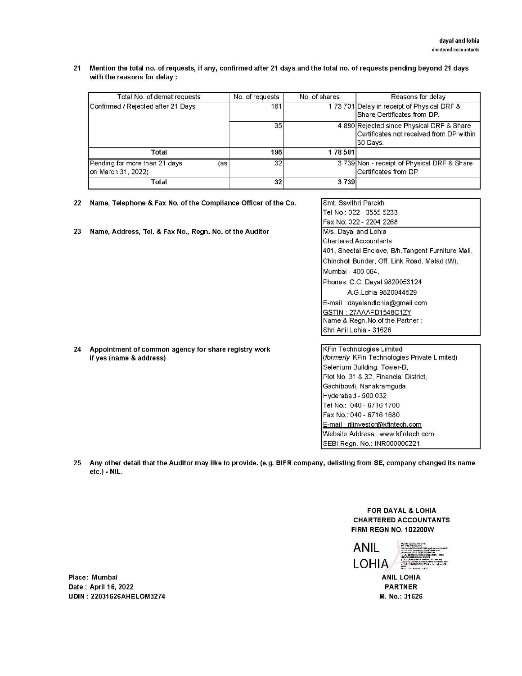**21 Mention the total no. of requests, if any, confirmed after 21 days and the total no. of requests pending beyond 21 days with the reasons for delay** :

| Total No. of demat requests                                | No. of requests | No. of shares | Reasons for delay                                                                                  |
|------------------------------------------------------------|-----------------|---------------|----------------------------------------------------------------------------------------------------|
| Confirmed / Rejected after 21 Days                         | 161             |               | 173701 Delay in receipt of Physical DRF &<br><b>IShare Certificates from DP.</b>                   |
|                                                            | 35              |               | 4 880 Rejected since Physical DRF & Share<br>Certificates not received from DP within<br>130 Days. |
| Total                                                      | 196             | 178581        |                                                                                                    |
| Pending for more than 21 days<br>(as<br>on March 31, 2022) | 32              |               | 3 739 Non - receipt of Physical DRF & Share<br><b>ICertificates from DP</b>                        |
| Total                                                      | 32              | 3739          |                                                                                                    |

- **22 Name, Telephone** & **Fax No. of the Compliance Officer of the Co.**
- 23 Name, Address, Tel. & Fax No., Regn. No. of the Auditor

|                           | Smt. Savithri Parekh                               |  |
|---------------------------|----------------------------------------------------|--|
|                           | Tel No: 022 - 3555 5233                            |  |
|                           | Fax No: 022 - 2204 2268                            |  |
|                           | M/s. Dayal and Lohia                               |  |
|                           | <b>Chartered Accountants</b>                       |  |
|                           | 401, Sheetal Enclave, B/h. Tangent Furniture Mall, |  |
|                           | Chincholi Bunder, Off. Link Road, Malad (W),       |  |
|                           | Mumbai - 400 064.                                  |  |
|                           | Phones: C.C. Dayal 9820053124                      |  |
|                           | A G Lohia 9820044529                               |  |
|                           | E-mail: dayalandlohia@gmail.com                    |  |
|                           | GSTIN : 27AAAFD1548C1ZY                            |  |
|                           | Name & Regn. No. of the Partner:                   |  |
|                           | Shri Anil Lohia - 31626                            |  |
|                           |                                                    |  |
|                           | <b>KFin Technologies Limited</b>                   |  |
|                           | (formerly KFin Technologies Private Limited)       |  |
|                           | Selenium Building, Tower-B,                        |  |
|                           | Plot No. 31 & 32, Financial District,              |  |
| Gachibowli, Nanakramguda, |                                                    |  |
|                           | Hyderabad - 500 032                                |  |
|                           | Tel No.: 040 - 6716 1700                           |  |
|                           | Fax No.: 040 - 6716 1680                           |  |

E-mail : rilinvestor@kfintech.com Website Address : www.kfintech.com SEBI Regn. No.: INR000000221

**24 Appointment of common agency for** share **registry work**  if **yes (name** & **address)** 

25 Any other detail that the Auditor may like to provide. (e.g. **BIFR** company, delisting from SE, company changed its name etc.) - NIL.

> FOR DAYAL & LOHIA CHARTERED ACCOUNTANTS FIRM REGN NO. 102200W

**ANIL LOHIA** 

ANIL LOHIA PARTNER M. No.: 31626

Place: Mumbai Date : April 16, 2022 UDIN : 22031626AHELOM3274